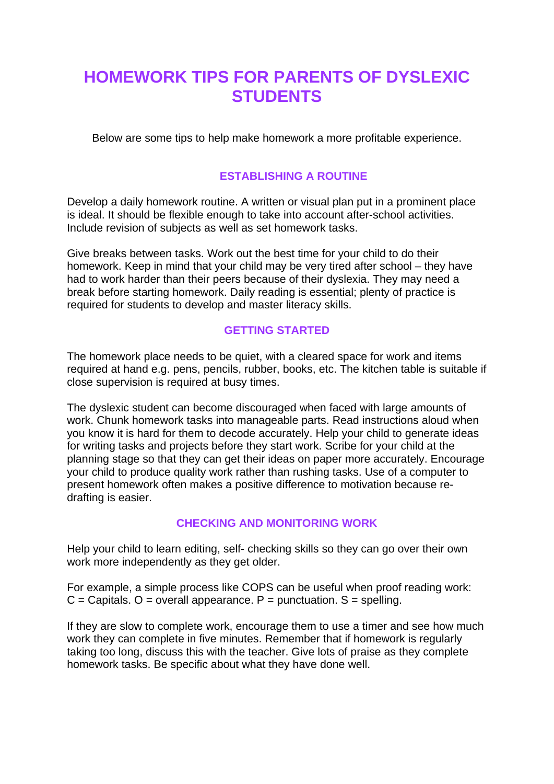# **HOMEWORK TIPS FOR PARENTS OF DYSLEXIC STUDENTS**

Below are some tips to help make homework a more profitable experience.

## **ESTABLISHING A ROUTINE**

Develop a daily homework routine. A written or visual plan put in a prominent place is ideal. It should be flexible enough to take into account after-school activities. Include revision of subjects as well as set homework tasks.

Give breaks between tasks. Work out the best time for your child to do their homework. Keep in mind that your child may be very tired after school – they have had to work harder than their peers because of their dyslexia. They may need a break before starting homework. Daily reading is essential; plenty of practice is required for students to develop and master literacy skills.

### **GETTING STARTED**

The homework place needs to be quiet, with a cleared space for work and items required at hand e.g. pens, pencils, rubber, books, etc. The kitchen table is suitable if close supervision is required at busy times.

The dyslexic student can become discouraged when faced with large amounts of work. Chunk homework tasks into manageable parts. Read instructions aloud when you know it is hard for them to decode accurately. Help your child to generate ideas for writing tasks and projects before they start work. Scribe for your child at the planning stage so that they can get their ideas on paper more accurately. Encourage your child to produce quality work rather than rushing tasks. Use of a computer to present homework often makes a positive difference to motivation because redrafting is easier.

### **CHECKING AND MONITORING WORK**

Help your child to learn editing, self- checking skills so they can go over their own work more independently as they get older.

For example, a simple process like COPS can be useful when proof reading work:  $C =$  Capitals. O = overall appearance. P = punctuation. S = spelling.

If they are slow to complete work, encourage them to use a timer and see how much work they can complete in five minutes. Remember that if homework is regularly taking too long, discuss this with the teacher. Give lots of praise as they complete homework tasks. Be specific about what they have done well.